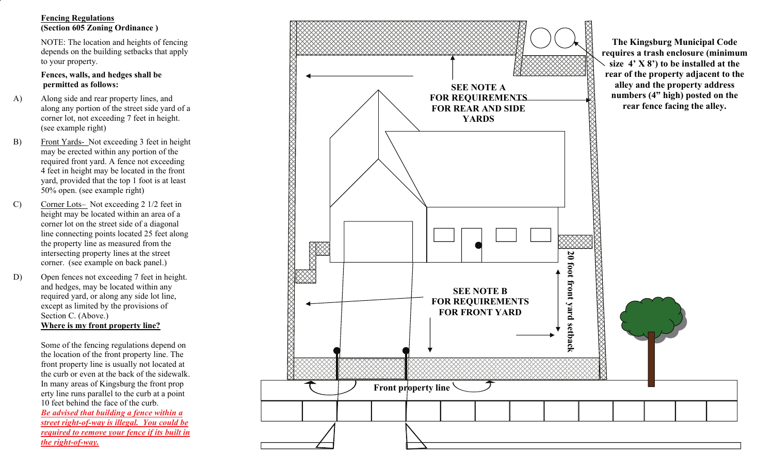## **Fencing Regulations (Section 605 Zoning Ordinance )**

 NOTE: The location and heights of fencing depends on the building setbacks that apply to your property.

## **Fences, walls, and hedges shall be permitted as follows:**

- A) Along side and rear property lines, and along any portion of the street side yard of a corner lot, not exceeding 7 feet in height. (see example right)
- B) Front Yards- Not exceeding 3 feet in height may be erected within any portion of the required front yard. A fence not exceeding 4 feet in height may be located in the front yard, provided that the top 1 foot is at least 50% open. (see example right)
- C) Corner Lots– Not exceeding 2 1/2 feet in height may be located within an area of a corner lot on the street side of a diagonal line connecting points located 25 feet along the property line as measured from the intersecting property lines at the street corner. (see example on back panel.)
- D) Open fences not exceeding 7 feet in height. and hedges, may be located within any required yard, or along any side lot line, except as limited by the provisions of Section C. (Above.)  **Where is my front property line?**

 Some of the fencing regulations depend on the location of the front property line. The front property line is usually not located at the curb or even at the back of the sidewalk. In many areas of Kingsburg the front prop erty line runs parallel to the curb at a point 10 feet behind the face of the curb.  *Be advised that building a fence within a street right-of-way is illegal. You could be required to remove your fence if its built in the right-of-way.*